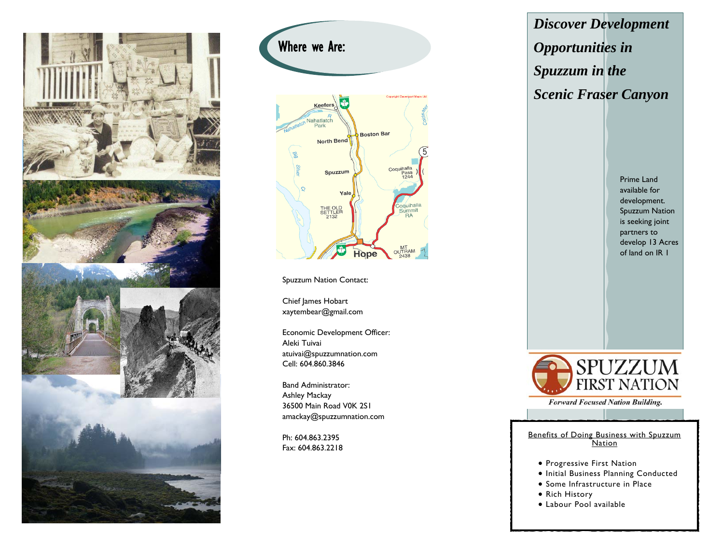



Spuzzum Nation Contact:

Chief James Hobart xaytembear@gmail.com

Economic Development Officer: Aleki Tuivai atuivai@spuzzumnation.com Cell: 604.860.3846

Band Administrator: Ashley Mackay 36500 Main Road V0K 2S1 amackay@spuzzumnation.com

Ph: 604.863.2395 Fax: 604.863.2218 *Discover Development Opportunities in Spuzzum in the Scenic Fraser Canyon* 

> Prime Land available for development. Spuzzum Nation is seeking joint partners to develop 13 Acres of land on IR 1



**Forward Focused Nation Building.** 

Benefits of Doing Business with Spuzzum **Nation** 

- **Progressive First Nation**
- **.** Initial Business Planning Conducted
- Some Infrastructure in Place
- Rich History
- Labour Pool available